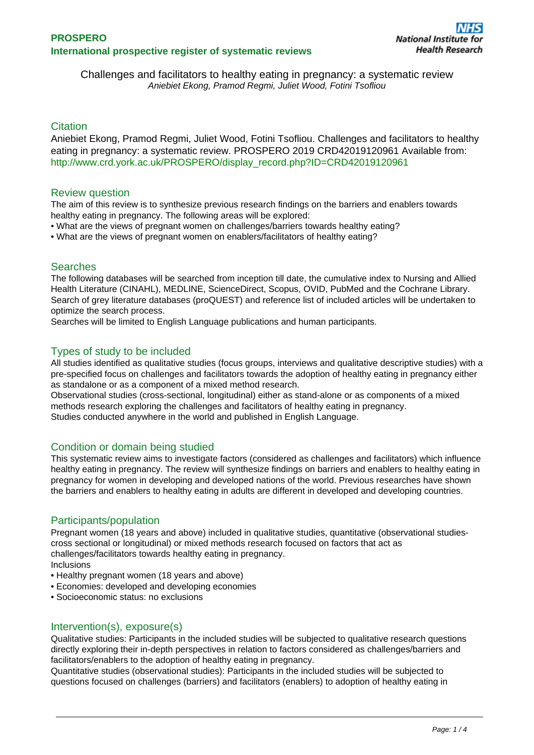Challenges and facilitators to healthy eating in pregnancy: a systematic review Aniebiet Ekong, Pramod Regmi, Juliet Wood, Fotini Tsofliou

# **Citation**

Aniebiet Ekong, Pramod Regmi, Juliet Wood, Fotini Tsofliou. Challenges and facilitators to healthy eating in pregnancy: a systematic review. PROSPERO 2019 CRD42019120961 Available from: [http://www.crd.york.ac.uk/PROSPERO/display\\_record.php?ID=CRD42019120961](http://www.crd.york.ac.uk/PROSPERO/display_record.php?ID=CRD42019120961)

### Review question

The aim of this review is to synthesize previous research findings on the barriers and enablers towards healthy eating in pregnancy. The following areas will be explored:

- What are the views of pregnant women on challenges/barriers towards healthy eating?
- What are the views of pregnant women on enablers/facilitators of healthy eating?

## Searches

The following databases will be searched from inception till date, the cumulative index to Nursing and Allied Health Literature (CINAHL), MEDLINE, ScienceDirect, Scopus, OVID, PubMed and the Cochrane Library. Search of grey literature databases (proQUEST) and reference list of included articles will be undertaken to optimize the search process.

Searches will be limited to English Language publications and human participants.

# Types of study to be included

All studies identified as qualitative studies (focus groups, interviews and qualitative descriptive studies) with a pre-specified focus on challenges and facilitators towards the adoption of healthy eating in pregnancy either as standalone or as a component of a mixed method research.

Observational studies (cross-sectional, longitudinal) either as stand-alone or as components of a mixed methods research exploring the challenges and facilitators of healthy eating in pregnancy. Studies conducted anywhere in the world and published in English Language.

## Condition or domain being studied

This systematic review aims to investigate factors (considered as challenges and facilitators) which influence healthy eating in pregnancy. The review will synthesize findings on barriers and enablers to healthy eating in pregnancy for women in developing and developed nations of the world. Previous researches have shown the barriers and enablers to healthy eating in adults are different in developed and developing countries.

## Participants/population

Pregnant women (18 years and above) included in qualitative studies, quantitative (observational studiescross sectional or longitudinal) or mixed methods research focused on factors that act as challenges/facilitators towards healthy eating in pregnancy. Inclusions

- Healthy pregnant women (18 years and above)
- Economies: developed and developing economies
- Socioeconomic status: no exclusions

### Intervention(s), exposure(s)

Qualitative studies: Participants in the included studies will be subjected to qualitative research questions directly exploring their in-depth perspectives in relation to factors considered as challenges/barriers and facilitators/enablers to the adoption of healthy eating in pregnancy.

Quantitative studies (observational studies): Participants in the included studies will be subjected to questions focused on challenges (barriers) and facilitators (enablers) to adoption of healthy eating in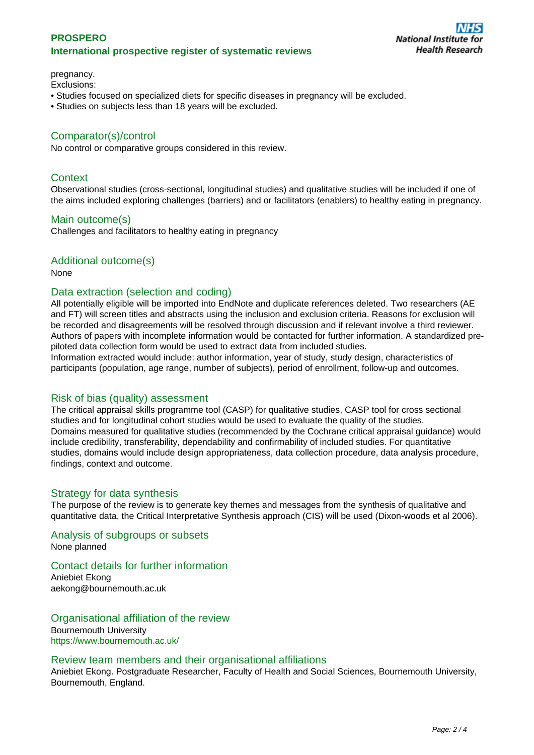## **PROSPERO International prospective register of systematic reviews**

pregnancy.

# Exclusions:

- Studies focused on specialized diets for specific diseases in pregnancy will be excluded.
- Studies on subjects less than 18 years will be excluded.

# Comparator(s)/control

No control or comparative groups considered in this review.

### **Context**

Observational studies (cross-sectional, longitudinal studies) and qualitative studies will be included if one of the aims included exploring challenges (barriers) and or facilitators (enablers) to healthy eating in pregnancy.

### Main outcome(s)

Challenges and facilitators to healthy eating in pregnancy

### Additional outcome(s)

None

### Data extraction (selection and coding)

All potentially eligible will be imported into EndNote and duplicate references deleted. Two researchers (AE and FT) will screen titles and abstracts using the inclusion and exclusion criteria. Reasons for exclusion will be recorded and disagreements will be resolved through discussion and if relevant involve a third reviewer. Authors of papers with incomplete information would be contacted for further information. A standardized prepiloted data collection form would be used to extract data from included studies.

Information extracted would include: author information, year of study, study design, characteristics of participants (population, age range, number of subjects), period of enrollment, follow-up and outcomes.

### Risk of bias (quality) assessment

The critical appraisal skills programme tool (CASP) for qualitative studies, CASP tool for cross sectional studies and for longitudinal cohort studies would be used to evaluate the quality of the studies. Domains measured for qualitative studies (recommended by the Cochrane critical appraisal guidance) would include credibility, transferability, dependability and confirmability of included studies. For quantitative studies, domains would include design appropriateness, data collection procedure, data analysis procedure, findings, context and outcome.

### Strategy for data synthesis

The purpose of the review is to generate key themes and messages from the synthesis of qualitative and quantitative data, the Critical Interpretative Synthesis approach (CIS) will be used (Dixon-woods et al 2006).

Analysis of subgroups or subsets None planned

# Contact details for further information

Aniebiet Ekong aekong@bournemouth.ac.uk

Organisational affiliation of the review Bournemouth University <https://www.bournemouth.ac.uk/>

### Review team members and their organisational affiliations

Aniebiet Ekong. Postgraduate Researcher, Faculty of Health and Social Sciences, Bournemouth University, Bournemouth, England.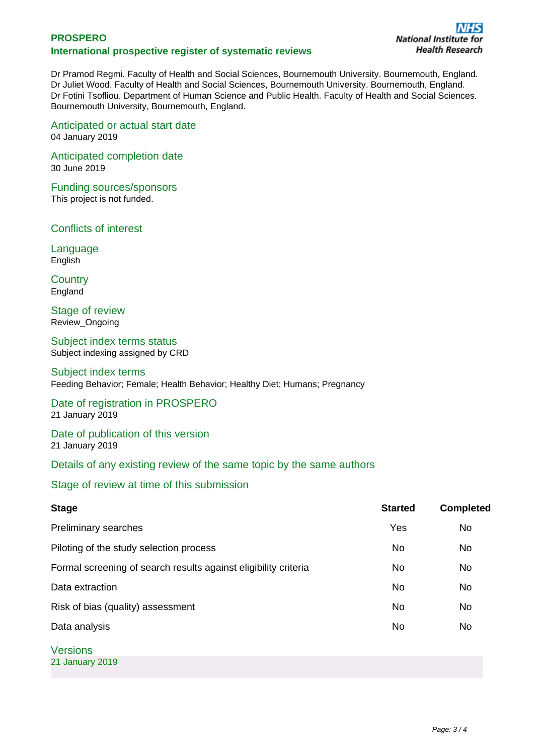# **PROSPERO International prospective register of systematic reviews**

Dr Pramod Regmi. Faculty of Health and Social Sciences, Bournemouth University. Bournemouth, England. Dr Juliet Wood. Faculty of Health and Social Sciences, Bournemouth University. Bournemouth, England. Dr Fotini Tsofliou. Department of Human Science and Public Health. Faculty of Health and Social Sciences. Bournemouth University, Bournemouth, England.

Anticipated or actual start date 04 January 2019

Anticipated completion date 30 June 2019

Funding sources/sponsors This project is not funded.

Conflicts of interest

Language **English** 

**Country England** 

Stage of review Review\_Ongoing

Subject index terms status Subject indexing assigned by CRD

## Subject index terms

Feeding Behavior; Female; Health Behavior; Healthy Diet; Humans; Pregnancy

Date of registration in PROSPERO 21 January 2019

Date of publication of this version 21 January 2019

Details of any existing review of the same topic by the same authors

Stage of review at time of this submission

| <b>Stage</b>                                                    | <b>Started</b> | <b>Completed</b> |
|-----------------------------------------------------------------|----------------|------------------|
| Preliminary searches                                            | Yes            | No               |
| Piloting of the study selection process                         | <b>No</b>      | No               |
| Formal screening of search results against eligibility criteria | <b>No</b>      | No               |
| Data extraction                                                 | No             | No               |
| Risk of bias (quality) assessment                               | No             | No               |
| Data analysis                                                   | No             | No               |
| <b>Versions</b>                                                 |                |                  |
| 21 January 2019                                                 |                |                  |